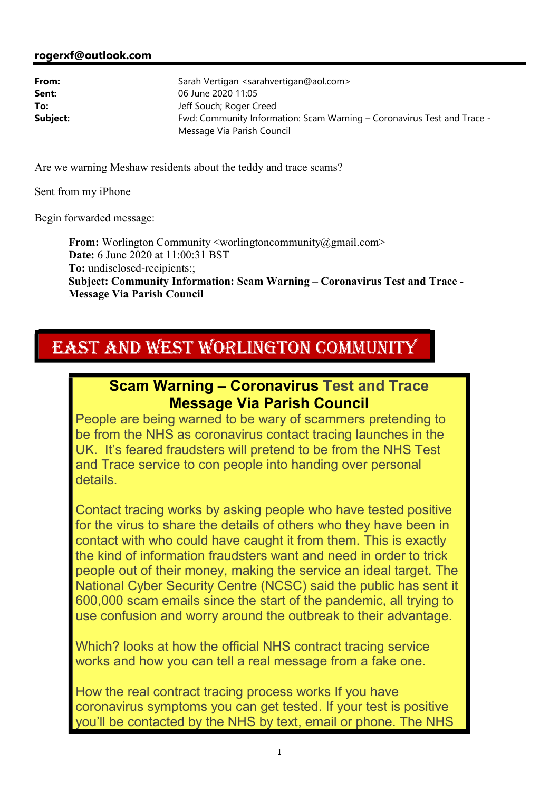**From:** Worlington Community <worlingtoncommunity@gmail.com> **Date:** 6 June 2020 at 11:00:31 BST **To:** undisclosed-recipients:; **Subject: Community Information: Scam Warning – Coronavirus Test and Trace - Message Via Parish Council**

## EAST AND WEST WORLINGTON COMMUNITY

## **Scam Warning – Coronavirus Test and Trace Message Via Parish Council**

People are being warned to be wary of scammers pretending to be from the NHS as coronavirus contact tracing launches in the UK. It's feared fraudsters will pretend to be from the NHS Test and Trace service to con people into handing over personal details.

Contact tracing works by asking people who have tested positive for the virus to share the details of others who they have been in contact with who could have caught it from them. This is exactly the kind of information fraudsters want and need in order to trick people out of their money, making the service an ideal target. The National Cyber Security Centre (NCSC) said the public has sent it 600,000 scam emails since the start of the pandemic, all trying to use confusion and worry around the outbreak to their advantage.

Which? looks at how the official NHS contract tracing service works and how you can tell a real message from a fake one.

How the real contract tracing process works If you have coronavirus symptoms you can get tested. If your test is positive you'll be contacted by the NHS by text, email or phone. The NHS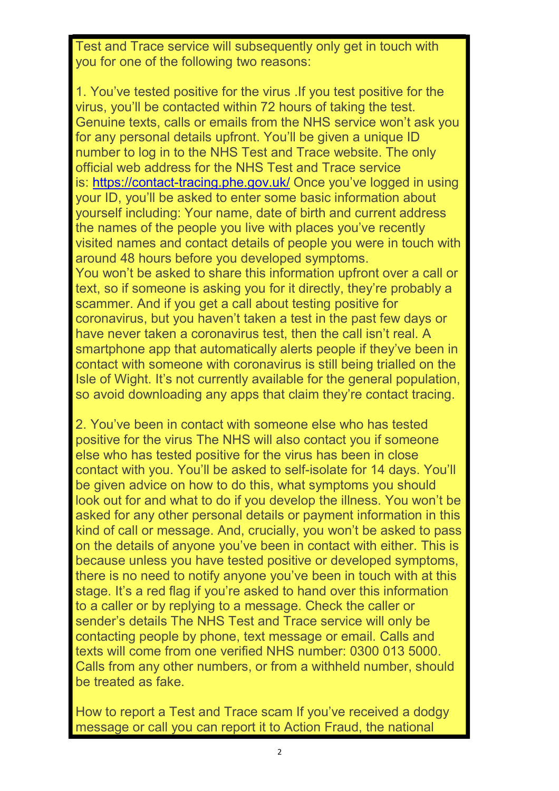Test and Trace service will subsequently only get in touch with you for one of the following two reasons:

1. You've tested positive for the virus .If you test positive for the virus, you'll be contacted within 72 hours of taking the test. Genuine texts, calls or emails from the NHS service won't ask you for any personal details upfront. You'll be given a unique ID number to log in to the NHS Test and Trace website. The only official web address for the NHS Test and Trace service is: https://contact-tracing.phe.gov.uk/ Once you've logged in using your ID, you'll be asked to enter some basic information about yourself including: Your name, date of birth and current address the names of the people you live with places you've recently visited names and contact details of people you were in touch with around 48 hours before you developed symptoms. You won't be asked to share this information upfront over a call or text, so if someone is asking you for it directly, they're probably a scammer. And if you get a call about testing positive for coronavirus, but you haven't taken a test in the past few days or have never taken a coronavirus test, then the call isn't real. A smartphone app that automatically alerts people if they've been in contact with someone with coronavirus is still being trialled on the Isle of Wight. It's not currently available for the general population, so avoid downloading any apps that claim they're contact tracing.

2. You've been in contact with someone else who has tested positive for the virus The NHS will also contact you if someone else who has tested positive for the virus has been in close contact with you. You'll be asked to self-isolate for 14 days. You'll be given advice on how to do this, what symptoms you should look out for and what to do if you develop the illness. You won't be asked for any other personal details or payment information in this kind of call or message. And, crucially, you won't be asked to pass on the details of anyone you've been in contact with either. This is because unless you have tested positive or developed symptoms, there is no need to notify anyone you've been in touch with at this stage. It's a red flag if you're asked to hand over this information to a caller or by replying to a message. Check the caller or sender's details The NHS Test and Trace service will only be contacting people by phone, text message or email. Calls and texts will come from one verified NHS number: 0300 013 5000. Calls from any other numbers, or from a withheld number, should be treated as fake.

How to report a Test and Trace scam If you've received a dodgy message or call you can report it to Action Fraud, the national